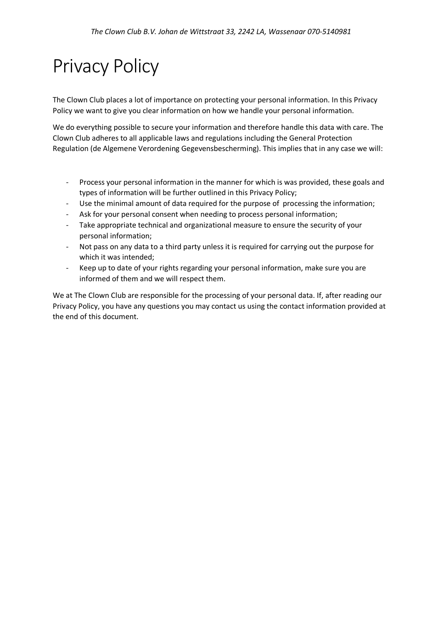# Privacy Policy

The Clown Club places a lot of importance on protecting your personal information. In this Privacy Policy we want to give you clear information on how we handle your personal information.

We do everything possible to secure your information and therefore handle this data with care. The Clown Club adheres to all applicable laws and regulations including the General Protection Regulation (de Algemene Verordening Gegevensbescherming). This implies that in any case we will:

- Process your personal information in the manner for which is was provided, these goals and types of information will be further outlined in this Privacy Policy;
- Use the minimal amount of data required for the purpose of processing the information;
- Ask for your personal consent when needing to process personal information;
- Take appropriate technical and organizational measure to ensure the security of your personal information;
- Not pass on any data to a third party unless it is required for carrying out the purpose for which it was intended;
- Keep up to date of your rights regarding your personal information, make sure you are informed of them and we will respect them.

We at The Clown Club are responsible for the processing of your personal data. If, after reading our Privacy Policy, you have any questions you may contact us using the contact information provided at the end of this document.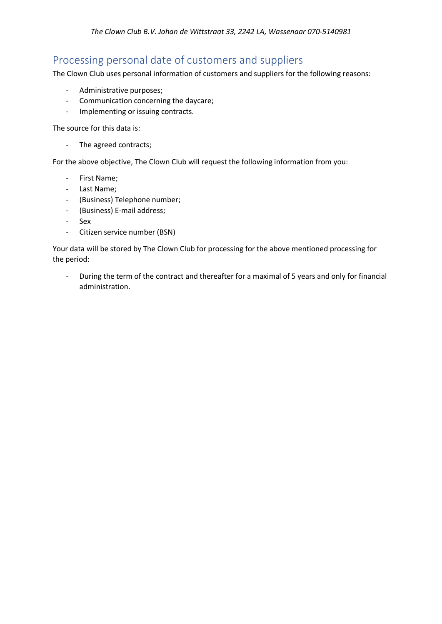## Processing personal date of customers and suppliers

The Clown Club uses personal information of customers and suppliers for the following reasons:

- Administrative purposes;
- Communication concerning the daycare;
- Implementing or issuing contracts.

The source for this data is:

- The agreed contracts;

For the above objective, The Clown Club will request the following information from you:

- First Name;
- Last Name;
- (Business) Telephone number;
- (Business) E-mail address;
- Sex
- Citizen service number (BSN)

Your data will be stored by The Clown Club for processing for the above mentioned processing for the period:

- During the term of the contract and thereafter for a maximal of 5 years and only for financial administration.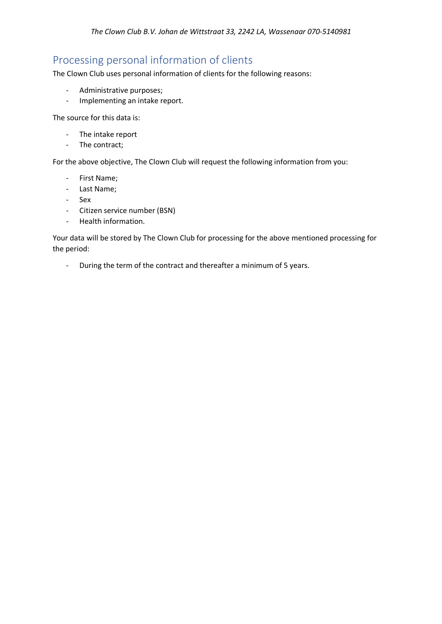# Processing personal information of clients

The Clown Club uses personal information of clients for the following reasons:

- Administrative purposes;
- Implementing an intake report.

The source for this data is:

- The intake report
- The contract;

For the above objective, The Clown Club will request the following information from you:

- First Name;
- Last Name;
- Sex
- Citizen service number (BSN)
- Health information.

Your data will be stored by The Clown Club for processing for the above mentioned processing for the period:

- During the term of the contract and thereafter a minimum of 5 years.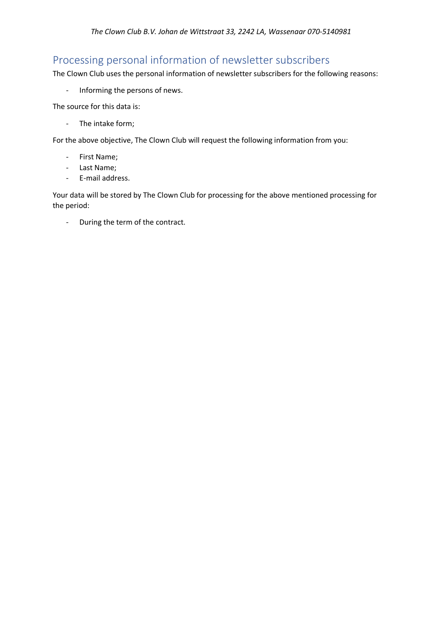# Processing personal information of newsletter subscribers

The Clown Club uses the personal information of newsletter subscribers for the following reasons:

- Informing the persons of news.

The source for this data is:

- The intake form;

For the above objective, The Clown Club will request the following information from you:

- First Name;
- Last Name;
- E-mail address.

Your data will be stored by The Clown Club for processing for the above mentioned processing for the period:

- During the term of the contract.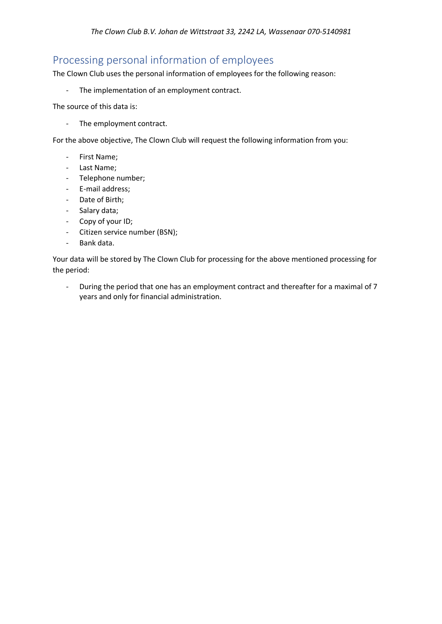# Processing personal information of employees

The Clown Club uses the personal information of employees for the following reason:

- The implementation of an employment contract.

The source of this data is:

- The employment contract.

For the above objective, The Clown Club will request the following information from you:

- First Name;
- Last Name;
- Telephone number;
- E-mail address;
- Date of Birth;
- Salary data;
- Copy of your ID;
- Citizen service number (BSN);
- Bank data.

Your data will be stored by The Clown Club for processing for the above mentioned processing for the period:

- During the period that one has an employment contract and thereafter for a maximal of 7 years and only for financial administration.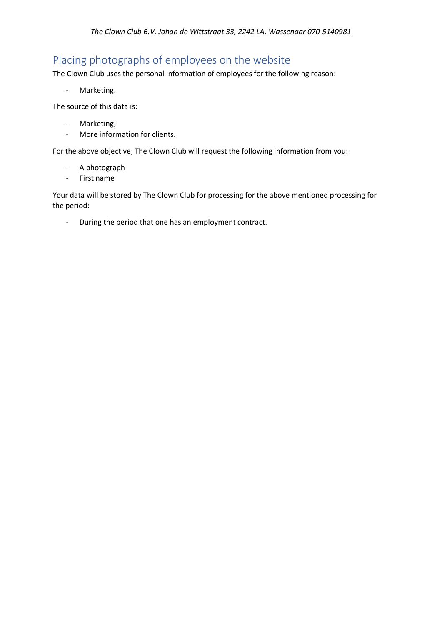# Placing photographs of employees on the website

The Clown Club uses the personal information of employees for the following reason:

- Marketing.

The source of this data is:

- Marketing;
- More information for clients.

For the above objective, The Clown Club will request the following information from you:

- A photograph
- First name

Your data will be stored by The Clown Club for processing for the above mentioned processing for the period:

- During the period that one has an employment contract.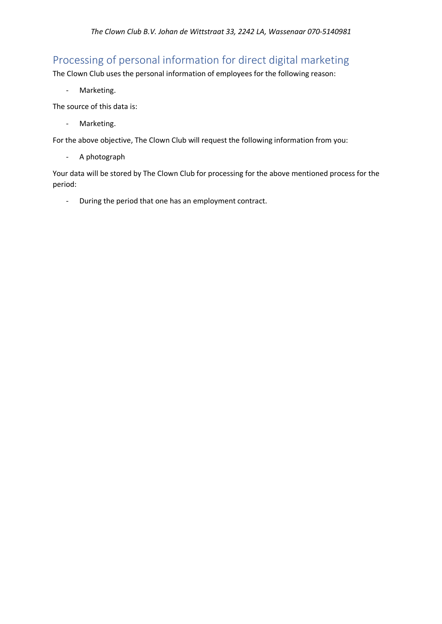# Processing of personal information for direct digital marketing

The Clown Club uses the personal information of employees for the following reason:

- Marketing.

The source of this data is:

- Marketing.

For the above objective, The Clown Club will request the following information from you:

- A photograph

Your data will be stored by The Clown Club for processing for the above mentioned process for the period:

- During the period that one has an employment contract.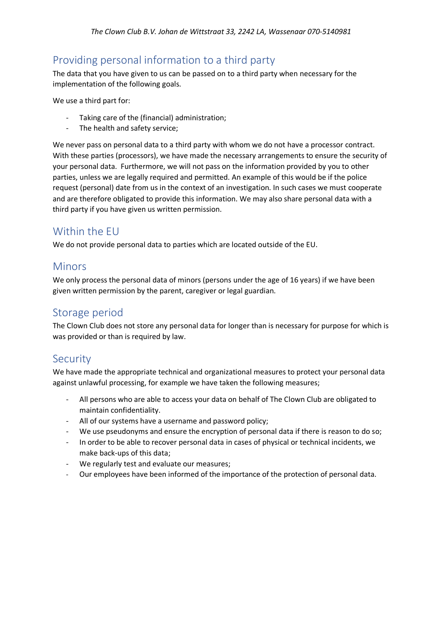## Providing personal information to a third party

The data that you have given to us can be passed on to a third party when necessary for the implementation of the following goals.

We use a third part for:

- Taking care of the (financial) administration;
- The health and safety service;

We never pass on personal data to a third party with whom we do not have a processor contract. With these parties (processors), we have made the necessary arrangements to ensure the security of your personal data. Furthermore, we will not pass on the information provided by you to other parties, unless we are legally required and permitted. An example of this would be if the police request (personal) date from us in the context of an investigation. In such cases we must cooperate and are therefore obligated to provide this information. We may also share personal data with a third party if you have given us written permission.

#### Within the EU

We do not provide personal data to parties which are located outside of the EU.

#### **Minors**

We only process the personal data of minors (persons under the age of 16 years) if we have been given written permission by the parent, caregiver or legal guardian.

#### Storage period

The Clown Club does not store any personal data for longer than is necessary for purpose for which is was provided or than is required by law.

#### **Security**

We have made the appropriate technical and organizational measures to protect your personal data against unlawful processing, for example we have taken the following measures;

- All persons who are able to access your data on behalf of The Clown Club are obligated to maintain confidentiality.
- All of our systems have a username and password policy;
- We use pseudonyms and ensure the encryption of personal data if there is reason to do so;
- In order to be able to recover personal data in cases of physical or technical incidents, we make back-ups of this data;
- We regularly test and evaluate our measures;
- Our employees have been informed of the importance of the protection of personal data.